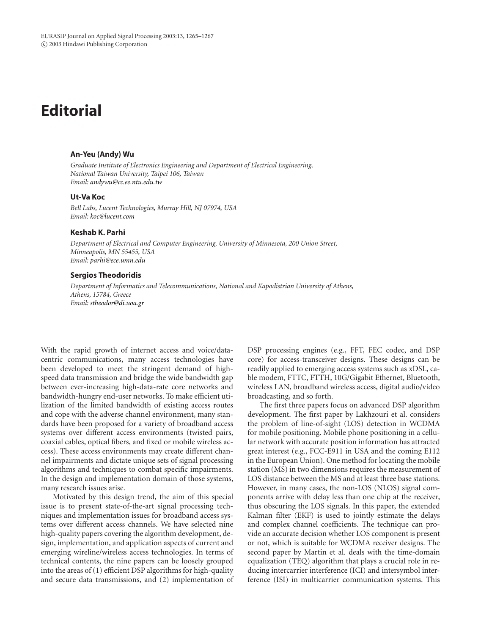# **Editorial**

## **An-Yeu (Andy) Wu**

*Graduate Institute of Electronics Engineering and Department of Electrical Engineering, National Taiwan University, Taipei 106, Taiwan Email: [andywu@cc.ee.ntu.edu.tw](mailto:andywu@cc.ee.ntu.edu.tw)*

## **Ut-Va Koc**

*Bell Labs, Lucent Technologies, Murray Hill, NJ 07974, USA Email: [koc@lucent.com](mailto:koc@lucent.com)*

#### **Keshab K. Parhi**

*Department of Electrical and Computer Engineering, University of Minnesota, 200 Union Street, Minneapolis, MN 55455, USA Email: [parhi@ece.umn.edu](mailto:parhi@ece.umn.edu)*

#### **Sergios Theodoridis**

*Department of Informatics and Telecommunications, National and Kapodistrian University of Athens, Athens, 15784, Greece Email: [stheodor@di.uoa.gr](mailto:stheodor@di.uoa.gr)*

With the rapid growth of internet access and voice/datacentric communications, many access technologies have been developed to meet the stringent demand of highspeed data transmission and bridge the wide bandwidth gap between ever-increasing high-data-rate core networks and bandwidth-hungry end-user networks. To make efficient utilization of the limited bandwidth of existing access routes and cope with the adverse channel environment, many standards have been proposed for a variety of broadband access systems over different access environments (twisted pairs, coaxial cables, optical fibers, and fixed or mobile wireless access). These access environments may create different channel impairments and dictate unique sets of signal processing algorithms and techniques to combat specific impairments. In the design and implementation domain of those systems, many research issues arise.

Motivated by this design trend, the aim of this special issue is to present state-of-the-art signal processing techniques and implementation issues for broadband access systems over different access channels. We have selected nine high-quality papers covering the algorithm development, design, implementation, and application aspects of current and emerging wireline/wireless access technologies. In terms of technical contents, the nine papers can be loosely grouped into the areas of (1) efficient DSP algorithms for high-quality and secure data transmissions, and (2) implementation of

DSP processing engines (e.g., FFT, FEC codec, and DSP core) for access-transceiver designs. These designs can be readily applied to emerging access systems such as xDSL, cable modem, FTTC, FTTH, 10G/Gigabit Ethernet, Bluetooth, wireless LAN, broadband wireless access, digital audio/video broadcasting, and so forth.

The first three papers focus on advanced DSP algorithm development. The first paper by Lakhzouri et al. considers the problem of line-of-sight (LOS) detection in WCDMA for mobile positioning. Mobile phone positioning in a cellular network with accurate position information has attracted great interest (e.g., FCC-E911 in USA and the coming E112 in the European Union). One method for locating the mobile station (MS) in two dimensions requires the measurement of LOS distance between the MS and at least three base stations. However, in many cases, the non-LOS (NLOS) signal components arrive with delay less than one chip at the receiver, thus obscuring the LOS signals. In this paper, the extended Kalman filter (EKF) is used to jointly estimate the delays and complex channel coefficients. The technique can provide an accurate decision whether LOS component is present or not, which is suitable for WCDMA receiver designs. The second paper by Martin et al. deals with the time-domain equalization (TEQ) algorithm that plays a crucial role in reducing intercarrier interference (ICI) and intersymbol interference (ISI) in multicarrier communication systems. This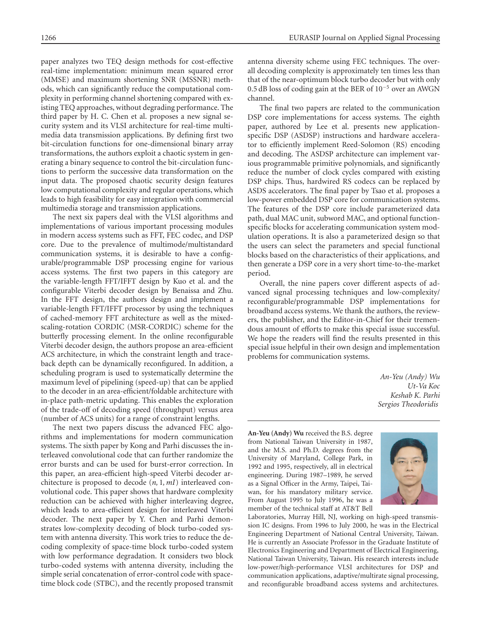paper analyzes two TEQ design methods for cost-effective real-time implementation: minimum mean squared error (MMSE) and maximum shortening SNR (MSSNR) methods, which can significantly reduce the computational complexity in performing channel shortening compared with existing TEQ approaches, without degrading performance. The third paper by H. C. Chen et al. proposes a new signal security system and its VLSI architecture for real-time multimedia data transmission applications. By defining first two bit-circulation functions for one-dimensional binary array transformations, the authors exploit a chaotic system in generating a binary sequence to control the bit-circulation functions to perform the successive data transformation on the input data. The proposed chaotic security design features low computational complexity and regular operations, which leads to high feasibility for easy integration with commercial multimedia storage and transmission applications.

The next six papers deal with the VLSI algorithms and implementations of various important processing modules in modern access systems such as FFT, FEC codec, and DSP core. Due to the prevalence of multimode/multistandard communication systems, it is desirable to have a configurable/programmable DSP processing engine for various access systems. The first two papers in this category are the variable-length FFT/IFFT design by Kuo et al. and the configurable Viterbi decoder design by Benaissa and Zhu. In the FFT design, the authors design and implement a variable-length FFT/IFFT processor by using the techniques of cached-memory FFT architecture as well as the mixedscaling-rotation CORDIC (MSR-CORDIC) scheme for the butterfly processing element. In the online reconfigurable Viterbi decoder design, the authors propose an area-efficient ACS architecture, in which the constraint length and traceback depth can be dynamically reconfigured. In addition, a scheduling program is used to systematically determine the maximum level of pipelining (speed-up) that can be applied to the decoder in an area-efficient/foldable architecture with in-place path-metric updating. This enables the exploration of the trade-off of decoding speed (throughput) versus area (number of ACS units) for a range of constraint lengths.

The next two papers discuss the advanced FEC algorithms and implementations for modern communication systems. The sixth paper by Kong and Parhi discusses the interleaved convolutional code that can further randomize the error bursts and can be used for burst-error correction. In this paper, an area-efficient high-speed Viterbi decoder architecture is proposed to decode (*n,* 1*, mI*) interleaved convolutional code. This paper shows that hardware complexity reduction can be achieved with higher interleaving degree, which leads to area-efficient design for interleaved Viterbi decoder. The next paper by Y. Chen and Parhi demonstrates low-complexity decoding of block turbo-coded system with antenna diversity. This work tries to reduce the decoding complexity of space-time block turbo-coded system with low performance degradation. It considers two block turbo-coded systems with antenna diversity, including the simple serial concatenation of error-control code with spacetime block code (STBC), and the recently proposed transmit

antenna diversity scheme using FEC techniques. The overall decoding complexity is approximately ten times less than that of the near-optimum block turbo decoder but with only 0.5 dB loss of coding gain at the BER of 10*−*<sup>5</sup> over an AWGN channel.

The final two papers are related to the communication DSP core implementations for access systems. The eighth paper, authored by Lee et al. presents new applicationspecific DSP (ASDSP) instructions and hardware accelerator to efficiently implement Reed-Solomon (RS) encoding and decoding. The ASDSP architecture can implement various programmable primitive polynomials, and significantly reduce the number of clock cycles compared with existing DSP chips. Thus, hardwired RS codecs can be replaced by ASDS accelerators. The final paper by Tsao et al. proposes a low-power embedded DSP core for communication systems. The features of the DSP core include parameterized data path, dual MAC unit, subword MAC, and optional functionspecific blocks for accelerating communication system modulation operations. It is also a parameterized design so that the users can select the parameters and special functional blocks based on the characteristics of their applications, and then generate a DSP core in a very short time-to-the-market period.

Overall, the nine papers cover different aspects of advanced signal processing techniques and low-complexity/ reconfigurable/programmable DSP implementations for broadband access systems. We thank the authors, the reviewers, the publisher, and the Editor-in-Chief for their tremendous amount of efforts to make this special issue successful. We hope the readers will find the results presented in this special issue helpful in their own design and implementation problems for communication systems.

> *An-Yeu (Andy) Wu Ut-Va Koc Keshab K. Parhi Sergios Theodoridis*

**An-Yeu (Andy) Wu** received the B.S. degree from National Taiwan University in 1987, and the M.S. and Ph.D. degrees from the University of Maryland, College Park, in 1992 and 1995, respectively, all in electrical engineering. During 1987–1989, he served as a Signal Officer in the Army, Taipei, Taiwan, for his mandatory military service. From August 1995 to July 1996, he was a member of the technical staff at AT&T Bell



Laboratories, Murray Hill, NJ, working on high-speed transmission IC designs. From 1996 to July 2000, he was in the Electrical Engineering Department of National Central University, Taiwan. He is currently an Associate Professor in the Graduate Institute of Electronics Engineering and Department of Electrical Engineering, National Taiwan University, Taiwan. His research interests include low-power/high-performance VLSI architectures for DSP and communication applications, adaptive/multirate signal processing, and reconfigurable broadband access systems and architectures.